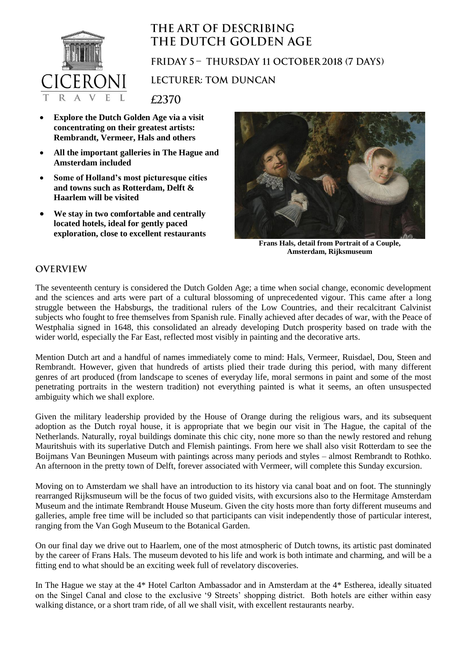

## THE ART OF DESCRIBING THE DUTCH GOLDEN AGE

FRIDAY 5 - THURSDAY 11 OCTOBER 2018 (7 DAYS)

**LECTURER: TOM DUNCAN** 

£2370

- **Explore the Dutch Golden Age via a visit concentrating on their greatest artists: Rembrandt, Vermeer, Hals and others**
- **All the important galleries in The Hague and Amsterdam included**
- **Some of Holland's most picturesque cities and towns such as Rotterdam, Delft & Haarlem will be visited**
- **We stay in two comfortable and centrally located hotels, ideal for gently paced exploration, close to excellent restaurants**



**Frans Hals, detail from Portrait of a Couple, Amsterdam, Rijksmuseum**

## **OVERVIEW**

The seventeenth century is considered the Dutch Golden Age; a time when social change, economic development and the sciences and arts were part of a cultural blossoming of unprecedented vigour. This came after a long struggle between the Habsburgs, the traditional rulers of the Low Countries, and their recalcitrant Calvinist subjects who fought to free themselves from Spanish rule. Finally achieved after decades of war, with the Peace of Westphalia signed in 1648, this consolidated an already developing Dutch prosperity based on trade with the wider world, especially the Far East, reflected most visibly in painting and the decorative arts.

Mention Dutch art and a handful of names immediately come to mind: Hals, Vermeer, Ruisdael, Dou, Steen and Rembrandt. However, given that hundreds of artists plied their trade during this period, with many different genres of art produced (from landscape to scenes of everyday life, moral sermons in paint and some of the most penetrating portraits in the western tradition) not everything painted is what it seems, an often unsuspected ambiguity which we shall explore.

Given the military leadership provided by the House of Orange during the religious wars, and its subsequent adoption as the Dutch royal house, it is appropriate that we begin our visit in The Hague, the capital of the Netherlands. Naturally, royal buildings dominate this chic city, none more so than the newly restored and rehung Mauritshuis with its superlative Dutch and Flemish paintings. From here we shall also visit Rotterdam to see the Boijmans Van Beuningen Museum with paintings across many periods and styles – almost Rembrandt to Rothko. An afternoon in the pretty town of Delft, forever associated with Vermeer, will complete this Sunday excursion.

Moving on to Amsterdam we shall have an introduction to its history via canal boat and on foot. The stunningly rearranged Rijksmuseum will be the focus of two guided visits, with excursions also to the Hermitage Amsterdam Museum and the intimate Rembrandt House Museum. Given the city hosts more than forty different museums and galleries, ample free time will be included so that participants can visit independently those of particular interest, ranging from the Van Gogh Museum to the Botanical Garden.

On our final day we drive out to Haarlem, one of the most atmospheric of Dutch towns, its artistic past dominated by the career of Frans Hals. The museum devoted to his life and work is both intimate and charming, and will be a fitting end to what should be an exciting week full of revelatory discoveries.

In The Hague we stay at the 4\* Hotel Carlton Ambassador and in Amsterdam at the 4\* Estherea, ideally situated on the Singel Canal and close to the exclusive '9 Streets' shopping district. Both hotels are either within easy walking distance, or a short tram ride, of all we shall visit, with excellent restaurants nearby.